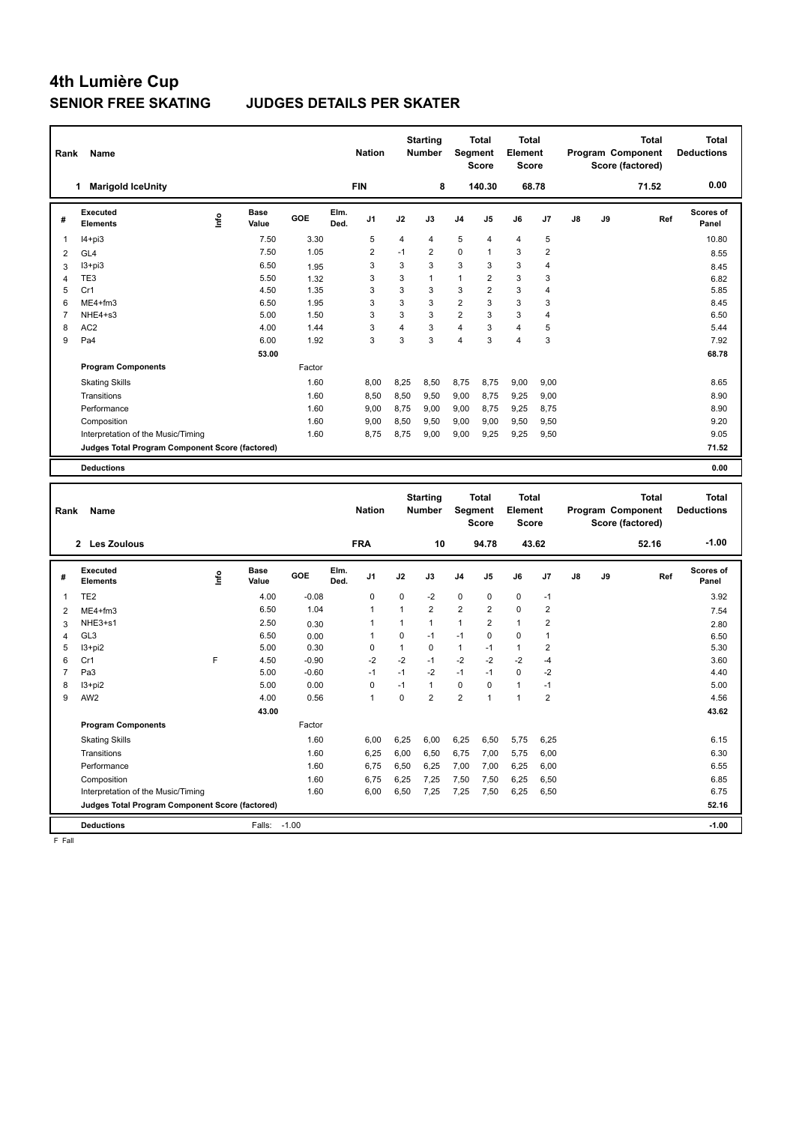#### **SENIOR FREE SKATING JUDGES DETAILS PER SKATER**

| Rank           | Name                                                                                  |       |                      |         |              | <b>Nation</b> |                | <b>Starting</b><br><b>Number</b> | Segment                 | <b>Total</b><br><b>Score</b> | <b>Total</b><br>Element<br>Score |                         |    |    | Program Component<br>Score (factored) | Total        | <b>Total</b><br><b>Deductions</b> |
|----------------|---------------------------------------------------------------------------------------|-------|----------------------|---------|--------------|---------------|----------------|----------------------------------|-------------------------|------------------------------|----------------------------------|-------------------------|----|----|---------------------------------------|--------------|-----------------------------------|
|                | 1 Marigold IceUnity                                                                   |       |                      |         |              | <b>FIN</b>    |                | 8                                |                         | 140.30                       |                                  | 68.78                   |    |    |                                       | 71.52        | 0.00                              |
| #              | <b>Executed</b><br><b>Elements</b>                                                    | Linfo | <b>Base</b><br>Value | GOE     | Elm.<br>Ded. | J1            | J2             | J3                               | J4                      | J5                           | J6                               | J7                      | J8 | J9 |                                       | Ref          | Scores of<br>Panel                |
| $\mathbf{1}$   | $I4 + pi3$                                                                            |       | 7.50                 | 3.30    |              | 5             | 4              | $\overline{4}$                   | 5                       | 4                            | $\overline{4}$                   | 5                       |    |    |                                       |              | 10.80                             |
| $\overline{2}$ | GL4                                                                                   |       | 7.50                 | 1.05    |              | 2             | $-1$           | $\overline{2}$                   | 0                       | $\mathbf{1}$                 | $\mathsf 3$                      | $\overline{2}$          |    |    |                                       |              | 8.55                              |
| $\mathbf{3}$   | $13 + pi3$                                                                            |       | 6.50                 | 1.95    |              | 3             | 3              | 3                                | 3                       | 3                            | 3                                | 4                       |    |    |                                       |              | 8.45                              |
| $\overline{4}$ | TE3                                                                                   |       | 5.50                 | 1.32    |              | 3             | 3              | $\overline{1}$                   | $\mathbf{1}$            | $\overline{2}$               | $\mathbf{3}$                     | 3                       |    |    |                                       |              | 6.82                              |
| 5              | Cr1                                                                                   |       | 4.50                 | 1.35    |              | 3             | 3              | 3                                | 3                       | $\overline{2}$               | $\mathbf{3}$                     | $\overline{4}$          |    |    |                                       |              | 5.85                              |
| 6              | ME4+fm3                                                                               |       | 6.50                 | 1.95    |              | 3             | 3              | 3                                | $\overline{2}$          | 3                            | $\mathbf{3}$                     | 3                       |    |    |                                       |              | 8.45                              |
| $\overline{7}$ | NHE4+s3                                                                               |       | 5.00                 | 1.50    |              | 3             | 3              | 3                                | $\overline{2}$          | 3                            | $\mathbf{3}$                     | $\overline{\mathbf{4}}$ |    |    |                                       |              | 6.50                              |
| 8              | AC <sub>2</sub>                                                                       |       | 4.00                 | 1.44    |              | 3             | $\overline{4}$ | 3                                | $\overline{4}$          | 3                            | $\overline{4}$                   | 5                       |    |    |                                       |              | 5.44                              |
| 9              | Pa4                                                                                   |       | 6.00                 | 1.92    |              | 3             | 3              | 3                                | $\overline{\mathbf{4}}$ | 3                            | $\overline{4}$                   | 3                       |    |    |                                       |              | 7.92                              |
|                |                                                                                       |       | 53.00                |         |              |               |                |                                  |                         |                              |                                  |                         |    |    |                                       |              | 68.78                             |
|                | <b>Program Components</b>                                                             |       |                      | Factor  |              |               |                |                                  |                         |                              |                                  |                         |    |    |                                       |              |                                   |
|                | <b>Skating Skills</b>                                                                 |       |                      | 1.60    |              | 8,00          | 8,25           | 8,50                             | 8,75                    | 8,75                         | 9,00                             | 9,00                    |    |    |                                       |              | 8.65                              |
|                | Transitions                                                                           |       |                      | 1.60    |              | 8,50          | 8,50           | 9,50                             | 9,00                    | 8,75                         | 9,25                             | 9,00                    |    |    |                                       |              | 8.90                              |
|                | Performance                                                                           |       |                      | 1.60    |              | 9,00          | 8,75           | 9,00                             | 9,00                    | 8,75                         | 9,25                             | 8,75                    |    |    |                                       |              | 8.90                              |
|                | Composition                                                                           |       |                      | 1.60    |              | 9,00          | 8,50           | 9,50                             | 9,00                    | 9,00                         | 9,50                             | 9,50                    |    |    |                                       |              | 9.20                              |
|                | Interpretation of the Music/Timing                                                    |       |                      | 1.60    |              | 8,75          | 8,75           | 9,00                             | 9,00                    | 9,25                         | 9,25                             | 9,50                    |    |    |                                       |              | 9.05                              |
|                | Judges Total Program Component Score (factored)                                       |       |                      |         |              |               |                |                                  |                         |                              |                                  |                         |    |    |                                       |              | 71.52                             |
|                | <b>Deductions</b>                                                                     |       |                      |         |              |               |                |                                  |                         |                              |                                  |                         |    |    |                                       |              | 0.00                              |
|                |                                                                                       |       |                      |         |              |               |                |                                  |                         |                              |                                  |                         |    |    |                                       |              |                                   |
|                |                                                                                       |       |                      |         |              |               |                |                                  |                         |                              |                                  |                         |    |    |                                       |              |                                   |
|                |                                                                                       |       |                      |         |              |               |                |                                  |                         |                              |                                  |                         |    |    |                                       |              |                                   |
|                |                                                                                       |       |                      |         |              | <b>Nation</b> |                | <b>Starting</b><br><b>Number</b> |                         | <b>Total</b>                 | <b>Total</b><br>Element          |                         |    |    |                                       | <b>Total</b> | <b>Total</b><br><b>Deductions</b> |
| Rank           | <b>Name</b>                                                                           |       |                      |         |              |               |                |                                  | Segment                 | <b>Score</b>                 | <b>Score</b>                     |                         |    |    | Program Component<br>Score (factored) |              |                                   |
|                | 2 Les Zoulous                                                                         |       |                      |         |              | <b>FRA</b>    |                | 10                               |                         | 94.78                        |                                  | 43.62                   |    |    |                                       | 52.16        | $-1.00$                           |
|                |                                                                                       |       |                      |         |              |               |                |                                  |                         |                              |                                  |                         |    |    |                                       |              |                                   |
| #              | <b>Executed</b><br><b>Elements</b>                                                    | info  | Base<br>Value        | GOE     | Elm.<br>Ded. | J1            | J2             | J3                               | J4                      | J5                           | J6                               | J7                      | J8 | J9 |                                       | Ref          | Scores of<br>Panel                |
| $\mathbf{1}$   | TE <sub>2</sub>                                                                       |       | 4.00                 | $-0.08$ |              | $\mathbf 0$   | $\mathsf 0$    | $-2$                             | $\pmb{0}$               | 0                            | $\mathbf 0$                      | $-1$                    |    |    |                                       |              | 3.92                              |
| $\overline{2}$ | ME4+fm3                                                                               |       | 6.50                 | 1.04    |              | 1             | 1              | $\overline{2}$                   | $\overline{2}$          | $\overline{2}$               | $\mathbf 0$                      | $\overline{2}$          |    |    |                                       |              | 7.54                              |
| 3              | NHE3+s1                                                                               |       | 2.50                 | 0.30    |              | 1             | $\mathbf{1}$   | $\mathbf{1}$                     | $\mathbf{1}$            | $\overline{2}$               | $\overline{1}$                   | $\overline{2}$          |    |    |                                       |              | 2.80                              |
| $\overline{4}$ | GL <sub>3</sub>                                                                       |       | 6.50                 | 0.00    |              | 1             | 0              | $-1$                             | $-1$                    | 0                            | $\mathbf 0$                      | $\mathbf{1}$            |    |    |                                       |              | 6.50                              |
| 5              | $13 + pi2$                                                                            |       | 5.00                 | 0.30    |              | $\mathbf 0$   | $\mathbf{1}$   | $\pmb{0}$                        | $\mathbf{1}$            | $-1$                         | $\mathbf{1}$                     | $\overline{2}$          |    |    |                                       |              | 5.30                              |
| 6              | Cr1                                                                                   | F     | 4.50                 | $-0.90$ |              | $-2$          | $-2$           | $-1$                             | $-2$                    | $-2$                         | $-2$                             | $-4$                    |    |    |                                       |              | 3.60                              |
| 7              | Pa3                                                                                   |       | 5.00                 | $-0.60$ |              | $-1$          | $-1$           | $-2$                             | $-1$                    | $-1$                         | $\Omega$                         | $-2$                    |    |    |                                       |              | 4.40                              |
| 8              | $13 + pi2$                                                                            |       | 5.00                 | 0.00    |              | 0             | $-1$           | $\mathbf{1}$                     | $\pmb{0}$               | 0                            | $\mathbf{1}$                     | $-1$                    |    |    |                                       |              | 5.00                              |
| 9              | AW <sub>2</sub>                                                                       |       | 4.00                 | 0.56    |              | $\mathbf{1}$  | 0              | $\overline{2}$                   | $\overline{2}$          | $\mathbf{1}$                 | $\overline{1}$                   | $\overline{2}$          |    |    |                                       |              | 4.56                              |
|                |                                                                                       |       | 43.00                |         |              |               |                |                                  |                         |                              |                                  |                         |    |    |                                       |              | 43.62                             |
|                | <b>Program Components</b>                                                             |       |                      | Factor  |              |               |                |                                  |                         |                              |                                  |                         |    |    |                                       |              |                                   |
|                | <b>Skating Skills</b>                                                                 |       |                      | 1.60    |              | 6,00          | 6,25           | 6,00                             | 6,25                    | 6,50                         | 5,75                             | 6,25                    |    |    |                                       |              | 6.15                              |
|                | Transitions                                                                           |       |                      | 1.60    |              | 6,25          | 6,00           | 6,50                             | 6,75                    | 7,00                         | 5,75                             | 6,00                    |    |    |                                       |              | 6.30                              |
|                | Performance                                                                           |       |                      | 1.60    |              | 6,75          | 6,50           | 6,25                             | 7,00                    | 7,00                         | 6,25                             | 6,00                    |    |    |                                       |              | 6.55                              |
|                | Composition                                                                           |       |                      | 1.60    |              | 6,75          | 6,25           | 7,25                             | 7,50                    | 7,50                         | 6,25                             | 6,50                    |    |    |                                       |              | 6.85                              |
|                | Interpretation of the Music/Timing<br>Judges Total Program Component Score (factored) |       |                      | 1.60    |              | 6,00          | 6,50           | 7,25                             | 7,25                    | 7,50                         | 6,25                             | 6,50                    |    |    |                                       |              | 6.75<br>52.16                     |

**Deductions** Falls: -1.00 **-1.00**

F Fall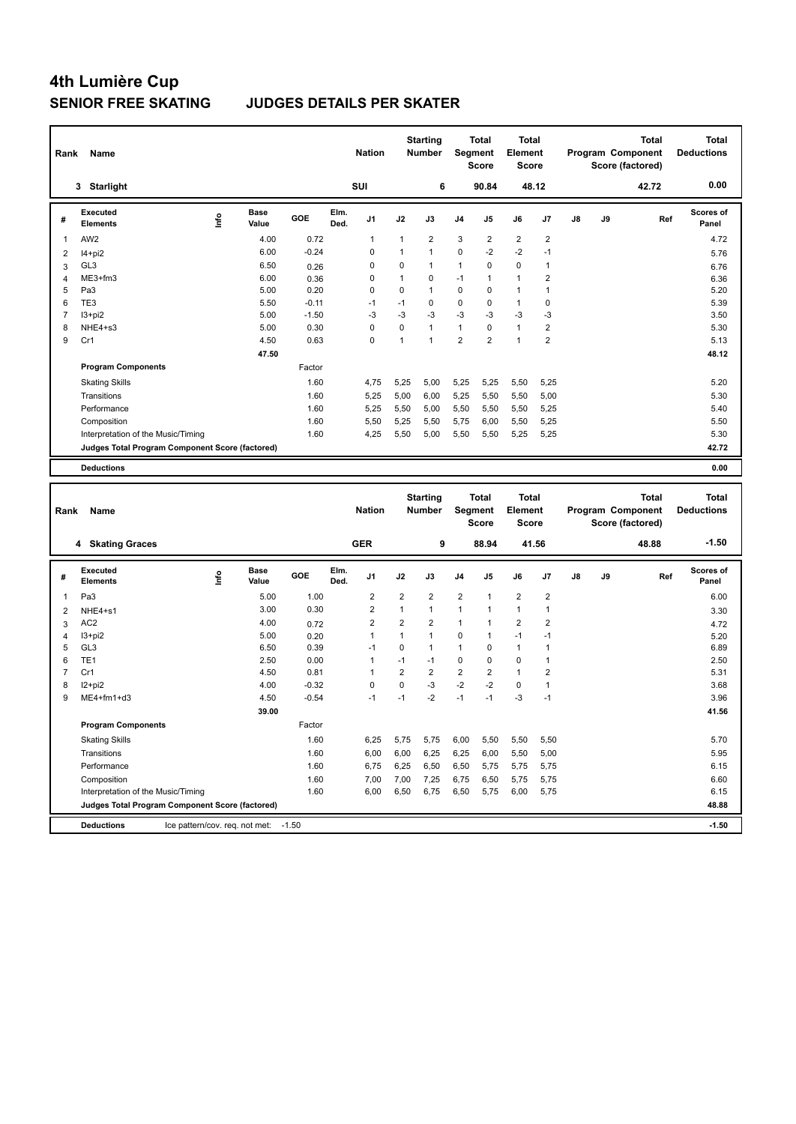### **SENIOR FREE SKATING JUDGES DETAILS PER SKATER**

| Rank                    | Name                                                                                  |      |                      |              |              | <b>Nation</b>  |                | <b>Starting</b><br><b>Number</b> |                | <b>Total</b><br>Segment<br><b>Score</b>        | <b>Total</b><br>Element<br><b>Score</b> |                         |    |    | Program Component<br>Score (factored) | <b>Total</b> | <b>Total</b><br><b>Deductions</b> |
|-------------------------|---------------------------------------------------------------------------------------|------|----------------------|--------------|--------------|----------------|----------------|----------------------------------|----------------|------------------------------------------------|-----------------------------------------|-------------------------|----|----|---------------------------------------|--------------|-----------------------------------|
|                         | 3 Starlight                                                                           |      |                      |              |              | SUI            |                | 6                                |                | 90.84                                          |                                         | 48.12                   |    |    |                                       | 42.72        | 0.00                              |
| #                       | <b>Executed</b><br><b>Elements</b>                                                    | lnfo | <b>Base</b><br>Value | GOE          | Elm.<br>Ded. | J1             | J2             | J3                               | J4             | J5                                             | J6                                      | J7                      | J8 | J9 |                                       | Ref          | Scores of<br>Panel                |
| 1                       | AW <sub>2</sub>                                                                       |      | 4.00                 | 0.72         |              | 1              | 1              | 2                                | 3              | $\overline{\mathbf{c}}$                        | $\overline{2}$                          | $\overline{2}$          |    |    |                                       |              | 4.72                              |
| $\overline{\mathbf{c}}$ | $14+pi2$                                                                              |      | 6.00                 | $-0.24$      |              | 0              | 1              | $\mathbf{1}$                     | 0              | $-2$                                           | $-2$                                    | $-1$                    |    |    |                                       |              | 5.76                              |
| 3                       | GL <sub>3</sub>                                                                       |      | 6.50                 | 0.26         |              | 0              | 0              | 1                                | $\mathbf{1}$   | 0                                              | 0                                       | $\mathbf{1}$            |    |    |                                       |              | 6.76                              |
| 4                       | ME3+fm3                                                                               |      | 6.00                 | 0.36         |              | 0              | 1              | 0                                | $-1$           | 1                                              | $\mathbf{1}$                            | $\overline{2}$          |    |    |                                       |              | 6.36                              |
| 5                       | Pa <sub>3</sub>                                                                       |      | 5.00                 | 0.20         |              | 0              | 0              | $\mathbf{1}$                     | 0              | 0                                              | $\mathbf{1}$                            | $\mathbf{1}$            |    |    |                                       |              | 5.20                              |
| 6                       | TE3                                                                                   |      | 5.50                 | $-0.11$      |              | $-1$           | $-1$           | 0                                | 0              | 0                                              | $\mathbf{1}$                            | 0                       |    |    |                                       |              | 5.39                              |
| $\overline{7}$          | $13 + pi2$                                                                            |      | 5.00                 | $-1.50$      |              | $-3$           | $-3$           | -3                               | $-3$           | -3                                             | $-3$                                    | $-3$                    |    |    |                                       |              | 3.50                              |
| 8                       | NHE4+s3                                                                               |      | 5.00                 | 0.30         |              | 0              | 0              | $\mathbf{1}$                     | $\mathbf{1}$   | 0                                              | $\mathbf{1}$                            | $\overline{2}$          |    |    |                                       |              | 5.30                              |
| 9                       | Cr1                                                                                   |      | 4.50                 | 0.63         |              | 0              | 1              | $\mathbf{1}$                     | $\overline{2}$ | $\overline{2}$                                 | $\mathbf{1}$                            | $\overline{2}$          |    |    |                                       |              | 5.13                              |
|                         |                                                                                       |      | 47.50                |              |              |                |                |                                  |                |                                                |                                         |                         |    |    |                                       |              | 48.12                             |
|                         | <b>Program Components</b>                                                             |      |                      | Factor       |              |                |                |                                  |                |                                                |                                         |                         |    |    |                                       |              |                                   |
|                         | <b>Skating Skills</b>                                                                 |      |                      | 1.60         |              | 4,75           | 5,25           | 5,00                             | 5,25           | 5,25                                           | 5,50                                    | 5,25                    |    |    |                                       |              | 5.20                              |
|                         | Transitions                                                                           |      |                      | 1.60         |              | 5,25           | 5,00           | 6,00                             | 5,25           | 5,50                                           | 5,50                                    | 5,00                    |    |    |                                       |              | 5.30                              |
|                         | Performance                                                                           |      |                      | 1.60         |              | 5,25           | 5,50           | 5,00                             | 5,50           | 5,50                                           | 5,50                                    | 5,25                    |    |    |                                       |              | 5.40                              |
|                         | Composition                                                                           |      |                      | 1.60         |              | 5,50           | 5,25           | 5,50                             | 5,75           | 6,00                                           | 5,50                                    | 5,25                    |    |    |                                       |              | 5.50                              |
|                         | Interpretation of the Music/Timing                                                    |      |                      | 1.60         |              | 4,25           | 5,50           | 5,00                             | 5,50           | 5,50                                           | 5,25                                    | 5,25                    |    |    |                                       |              | 5.30                              |
|                         | Judges Total Program Component Score (factored)                                       |      |                      |              |              |                |                |                                  |                |                                                |                                         |                         |    |    |                                       |              | 42.72                             |
|                         | <b>Deductions</b>                                                                     |      |                      |              |              |                |                |                                  |                |                                                |                                         |                         |    |    |                                       |              | 0.00                              |
|                         |                                                                                       |      |                      |              |              |                |                |                                  |                |                                                |                                         |                         |    |    |                                       |              |                                   |
| Rank                    | Name                                                                                  |      |                      |              |              | <b>Nation</b>  |                | <b>Starting</b><br><b>Number</b> |                | <b>Total</b><br><b>Segment</b><br><b>Score</b> | <b>Total</b><br>Element<br><b>Score</b> |                         |    |    | Program Component<br>Score (factored) | <b>Total</b> | <b>Total</b><br><b>Deductions</b> |
|                         | 4 Skating Graces                                                                      |      |                      |              |              | <b>GER</b>     |                | 9                                |                | 88.94                                          |                                         | 41.56                   |    |    |                                       | 48.88        | $-1.50$                           |
| #                       | <b>Executed</b><br><b>Elements</b>                                                    | lnfo | Base<br>Value        | GOE          | Elm.<br>Ded. | J1             | J2             | J3                               | J4             | J5                                             | J6                                      | J7                      | J8 | J9 |                                       | Ref          | Scores of<br>Panel                |
| 1                       | Pa <sub>3</sub>                                                                       |      | 5.00                 | 1.00         |              | $\overline{2}$ | $\overline{2}$ | 2                                | $\overline{2}$ | 1                                              | $\overline{2}$                          | $\overline{c}$          |    |    |                                       |              | 6.00                              |
| 2                       | NHE4+s1                                                                               |      | 3.00                 | 0.30         |              | 2              | $\mathbf{1}$   | $\mathbf{1}$                     | $\mathbf{1}$   | 1                                              | $\mathbf{1}$                            | $\mathbf{1}$            |    |    |                                       |              | 3.30                              |
| 3                       | AC <sub>2</sub>                                                                       |      | 4.00                 |              |              | $\overline{2}$ | $\overline{2}$ | 2                                | $\mathbf{1}$   | 1                                              | $\overline{\mathbf{c}}$                 | $\overline{\mathbf{c}}$ |    |    |                                       |              |                                   |
| $\overline{4}$          | $13 + pi2$                                                                            |      | 5.00                 | 0.72<br>0.20 |              | 1              | $\mathbf{1}$   | $\mathbf{1}$                     | 0              | 1                                              | $-1$                                    | $-1$                    |    |    |                                       |              | 4.72                              |
| 5                       | GL3                                                                                   |      | 6.50                 | 0.39         |              | $-1$           | 0              | $\mathbf{1}$                     | 1              | 0                                              | $\mathbf{1}$                            | $\mathbf{1}$            |    |    |                                       |              | 5.20<br>6.89                      |
| 6                       | TE <sub>1</sub>                                                                       |      | 2.50                 | 0.00         |              | 1              | $-1$           | $-1$                             | 0              | 0                                              | 0                                       | $\mathbf{1}$            |    |    |                                       |              | 2.50                              |
| $\overline{7}$          | Cr1                                                                                   |      | 4.50                 | 0.81         |              | $\mathbf{1}$   | $\overline{2}$ | $\overline{2}$                   | $\overline{2}$ | $\overline{2}$                                 | $\mathbf{1}$                            | $\mathbf 2$             |    |    |                                       |              | 5.31                              |
| 8                       | $12+pi2$                                                                              |      | 4.00                 | $-0.32$      |              | 0              | 0              | -3                               | $-2$           | $-2$                                           | $\mathbf 0$                             | $\mathbf{1}$            |    |    |                                       |              | 3.68                              |
| 9                       | ME4+fm1+d3                                                                            |      | 4.50                 | $-0.54$      |              | $-1$           | $-1$           | $-2$                             | $-1$           | $-1$                                           | $-3$                                    | $-1$                    |    |    |                                       |              | 3.96                              |
|                         |                                                                                       |      | 39.00                |              |              |                |                |                                  |                |                                                |                                         |                         |    |    |                                       |              | 41.56                             |
|                         | <b>Program Components</b>                                                             |      |                      | Factor       |              |                |                |                                  |                |                                                |                                         |                         |    |    |                                       |              |                                   |
|                         | <b>Skating Skills</b>                                                                 |      |                      | 1.60         |              | 6,25           | 5,75           | 5,75                             | 6,00           | 5,50                                           | 5,50                                    | 5,50                    |    |    |                                       |              | 5.70                              |
|                         | Transitions                                                                           |      |                      | 1.60         |              | 6,00           |                | 6,25                             |                |                                                |                                         |                         |    |    |                                       |              | 5.95                              |
|                         | Performance                                                                           |      |                      | 1.60         |              | 6,75           | 6,00           |                                  | 6,25           | 6,00                                           | 5,50                                    | 5,00                    |    |    |                                       |              | 6.15                              |
|                         | Composition                                                                           |      |                      |              |              |                | 6,25           | 6,50                             | 6,50           | 5,75                                           | 5,75                                    | 5,75                    |    |    |                                       |              |                                   |
|                         |                                                                                       |      |                      | 1.60<br>1.60 |              | 7,00<br>6,00   | 7,00<br>6,50   | 7,25<br>6,75                     | 6,75           | 6,50<br>5,75                                   | 5,75                                    | 5,75                    |    |    |                                       |              | 6.60<br>6.15                      |
|                         | Interpretation of the Music/Timing<br>Judges Total Program Component Score (factored) |      |                      |              |              |                |                |                                  | 6,50           |                                                | 6,00                                    | 5,75                    |    |    |                                       |              | 48.88                             |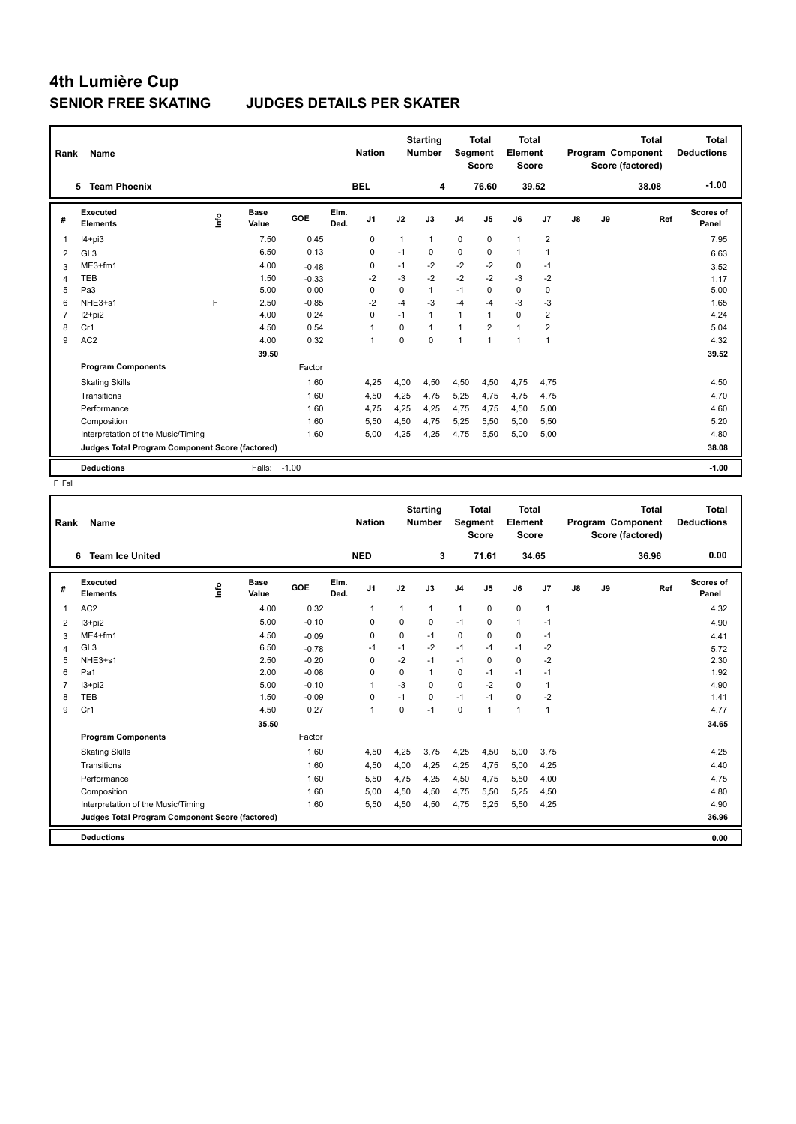#### **SENIOR FREE SKATING JUDGES DETAILS PER SKATER**

| Rank | Name                                            |      |                      |         |              | <b>Nation</b>  |              | <b>Starting</b><br><b>Number</b> | Segment        | <b>Total</b><br><b>Score</b> | <b>Total</b><br>Element<br><b>Score</b> |                         |    |    | <b>Total</b><br>Program Component<br>Score (factored) | <b>Total</b><br><b>Deductions</b> |
|------|-------------------------------------------------|------|----------------------|---------|--------------|----------------|--------------|----------------------------------|----------------|------------------------------|-----------------------------------------|-------------------------|----|----|-------------------------------------------------------|-----------------------------------|
|      | <b>Team Phoenix</b><br>5.                       |      |                      |         |              | <b>BEL</b>     |              | 4                                |                | 76.60                        |                                         | 39.52                   |    |    | 38.08                                                 | $-1.00$                           |
| #    | Executed<br><b>Elements</b>                     | lnfo | <b>Base</b><br>Value | GOE     | Elm.<br>Ded. | J <sub>1</sub> | J2           | J3                               | J <sub>4</sub> | J <sub>5</sub>               | J6                                      | J7                      | J8 | J9 | Ref                                                   | Scores of<br>Panel                |
| 1    | $I4 + pi3$                                      |      | 7.50                 | 0.45    |              | 0              | $\mathbf{1}$ | $\mathbf{1}$                     | 0              | 0                            | $\mathbf{1}$                            | 2                       |    |    |                                                       | 7.95                              |
| 2    | GL <sub>3</sub>                                 |      | 6.50                 | 0.13    |              | $\Omega$       | $-1$         | $\Omega$                         | 0              | 0                            | $\mathbf{1}$                            | $\overline{1}$          |    |    |                                                       | 6.63                              |
| 3    | ME3+fm1                                         |      | 4.00                 | $-0.48$ |              | 0              | $-1$         | $-2$                             | $-2$           | $-2$                         | 0                                       | $-1$                    |    |    |                                                       | 3.52                              |
| 4    | <b>TEB</b>                                      |      | 1.50                 | $-0.33$ |              | $-2$           | $-3$         | $-2$                             | $-2$           | $-2$                         | $-3$                                    | $-2$                    |    |    |                                                       | 1.17                              |
| 5    | Pa <sub>3</sub>                                 |      | 5.00                 | 0.00    |              | $\Omega$       | $\Omega$     | $\mathbf{1}$                     | $-1$           | $\Omega$                     | $\mathbf 0$                             | 0                       |    |    |                                                       | 5.00                              |
| 6    | NHE3+s1                                         | E    | 2.50                 | $-0.85$ |              | $-2$           | $-4$         | $-3$                             | $-4$           | $-4$                         | $-3$                                    | -3                      |    |    |                                                       | 1.65                              |
| 7    | I2+pi2                                          |      | 4.00                 | 0.24    |              | $\Omega$       | $-1$         | $\mathbf{1}$                     | 1              | 1                            | $\mathbf 0$                             | $\overline{\mathbf{c}}$ |    |    |                                                       | 4.24                              |
| 8    | Cr1                                             |      | 4.50                 | 0.54    |              | 1              | 0            | $\mathbf{1}$                     | 1              | $\overline{2}$               | $\mathbf{1}$                            | $\overline{2}$          |    |    |                                                       | 5.04                              |
| 9    | AC <sub>2</sub>                                 |      | 4.00                 | 0.32    |              | $\overline{1}$ | $\Omega$     | 0                                | 1              | $\overline{1}$               | $\mathbf{1}$                            | $\overline{1}$          |    |    |                                                       | 4.32                              |
|      |                                                 |      | 39.50                |         |              |                |              |                                  |                |                              |                                         |                         |    |    |                                                       | 39.52                             |
|      | <b>Program Components</b>                       |      |                      | Factor  |              |                |              |                                  |                |                              |                                         |                         |    |    |                                                       |                                   |
|      | <b>Skating Skills</b>                           |      |                      | 1.60    |              | 4,25           | 4,00         | 4,50                             | 4,50           | 4,50                         | 4,75                                    | 4,75                    |    |    |                                                       | 4.50                              |
|      | Transitions                                     |      |                      | 1.60    |              | 4,50           | 4,25         | 4,75                             | 5,25           | 4,75                         | 4,75                                    | 4,75                    |    |    |                                                       | 4.70                              |
|      | Performance                                     |      |                      | 1.60    |              | 4,75           | 4,25         | 4.25                             | 4,75           | 4,75                         | 4,50                                    | 5,00                    |    |    |                                                       | 4.60                              |
|      | Composition                                     |      |                      | 1.60    |              | 5,50           | 4,50         | 4,75                             | 5,25           | 5,50                         | 5,00                                    | 5,50                    |    |    |                                                       | 5.20                              |
|      | Interpretation of the Music/Timing              |      |                      | 1.60    |              | 5,00           | 4,25         | 4,25                             | 4,75           | 5,50                         | 5,00                                    | 5,00                    |    |    |                                                       | 4.80                              |
|      | Judges Total Program Component Score (factored) |      |                      |         |              |                |              |                                  |                |                              |                                         |                         |    |    |                                                       | 38.08                             |
|      | <b>Deductions</b>                               |      | Falls:               | $-1.00$ |              |                |              |                                  |                |                              |                                         |                         |    |    |                                                       | $-1.00$                           |

F Fall

| Rank | Name                                            |    |                      |         |              | <b>Nation</b> |          | <b>Starting</b><br><b>Number</b> | <b>Segment</b> | <b>Total</b><br><b>Score</b> | Total<br>Element<br><b>Score</b> |                |    |    | <b>Total</b><br>Program Component<br>Score (factored) | <b>Total</b><br><b>Deductions</b> |
|------|-------------------------------------------------|----|----------------------|---------|--------------|---------------|----------|----------------------------------|----------------|------------------------------|----------------------------------|----------------|----|----|-------------------------------------------------------|-----------------------------------|
|      | <b>Team Ice United</b><br>6                     |    |                      |         |              | <b>NED</b>    |          | 3                                |                | 71.61                        | 34.65                            |                |    |    | 36.96                                                 | 0.00                              |
| #    | Executed<br><b>Elements</b>                     | ۴ů | <b>Base</b><br>Value | GOE     | Elm.<br>Ded. | J1            | J2       | J3                               | J <sub>4</sub> | J <sub>5</sub>               | J6                               | J7             | J8 | J9 | Ref                                                   | <b>Scores of</b><br>Panel         |
| 1    | AC <sub>2</sub>                                 |    | 4.00                 | 0.32    |              | $\mathbf 1$   | 1        | $\mathbf{1}$                     | $\mathbf{1}$   | $\mathbf 0$                  | $\mathbf 0$                      | $\overline{1}$ |    |    |                                                       | 4.32                              |
| 2    | $13 + pi2$                                      |    | 5.00                 | $-0.10$ |              | 0             | $\Omega$ | 0                                | $-1$           | $\Omega$                     | $\mathbf{1}$                     | $-1$           |    |    |                                                       | 4.90                              |
| 3    | $ME4+fm1$                                       |    | 4.50                 | $-0.09$ |              | 0             | 0        | $-1$                             | $\mathbf 0$    | 0                            | $\mathbf 0$                      | $-1$           |    |    |                                                       | 4.41                              |
| 4    | GL <sub>3</sub>                                 |    | 6.50                 | $-0.78$ |              | -1            | $-1$     | $-2$                             | $-1$           | $-1$                         | $-1$                             | $-2$           |    |    |                                                       | 5.72                              |
| 5    | NHE3+s1                                         |    | 2.50                 | $-0.20$ |              | 0             | $-2$     | $-1$                             | $-1$           | 0                            | $\mathbf 0$                      | $-2$           |    |    |                                                       | 2.30                              |
| 6    | Pa1                                             |    | 2.00                 | $-0.08$ |              | $\Omega$      | $\Omega$ | 1                                | $\mathbf 0$    | $-1$                         | $-1$                             | $-1$           |    |    |                                                       | 1.92                              |
| 7    | $13 + pi2$                                      |    | 5.00                 | $-0.10$ |              | $\mathbf{1}$  | $-3$     | $\Omega$                         | $\mathbf 0$    | $-2$                         | $\mathbf 0$                      | $\mathbf{1}$   |    |    |                                                       | 4.90                              |
| 8    | TEB                                             |    | 1.50                 | $-0.09$ |              | $\mathbf 0$   | $-1$     | 0                                | $-1$           | $-1$                         | $\Omega$                         | $-2$           |    |    |                                                       | 1.41                              |
| 9    | Cr1                                             |    | 4.50                 | 0.27    |              | $\mathbf{1}$  | $\Omega$ | $-1$                             | 0              | $\mathbf{1}$                 | $\mathbf{1}$                     | $\overline{1}$ |    |    |                                                       | 4.77                              |
|      |                                                 |    | 35.50                |         |              |               |          |                                  |                |                              |                                  |                |    |    |                                                       | 34.65                             |
|      | <b>Program Components</b>                       |    |                      | Factor  |              |               |          |                                  |                |                              |                                  |                |    |    |                                                       |                                   |
|      | <b>Skating Skills</b>                           |    |                      | 1.60    |              | 4,50          | 4,25     | 3,75                             | 4,25           | 4,50                         | 5,00                             | 3.75           |    |    |                                                       | 4.25                              |
|      | Transitions                                     |    |                      | 1.60    |              | 4,50          | 4,00     | 4,25                             | 4,25           | 4,75                         | 5.00                             | 4,25           |    |    |                                                       | 4.40                              |
|      | Performance                                     |    |                      | 1.60    |              | 5,50          | 4,75     | 4,25                             | 4,50           | 4,75                         | 5,50                             | 4,00           |    |    |                                                       | 4.75                              |
|      | Composition                                     |    |                      | 1.60    |              | 5,00          | 4,50     | 4,50                             | 4,75           | 5,50                         | 5,25                             | 4,50           |    |    |                                                       | 4.80                              |
|      | Interpretation of the Music/Timing              |    |                      | 1.60    |              | 5,50          | 4,50     | 4,50                             | 4,75           | 5,25                         | 5,50                             | 4,25           |    |    |                                                       | 4.90                              |
|      | Judges Total Program Component Score (factored) |    |                      |         |              |               |          |                                  |                |                              |                                  |                |    |    |                                                       | 36.96                             |
|      | <b>Deductions</b>                               |    |                      |         |              |               |          |                                  |                |                              |                                  |                |    |    |                                                       | 0.00                              |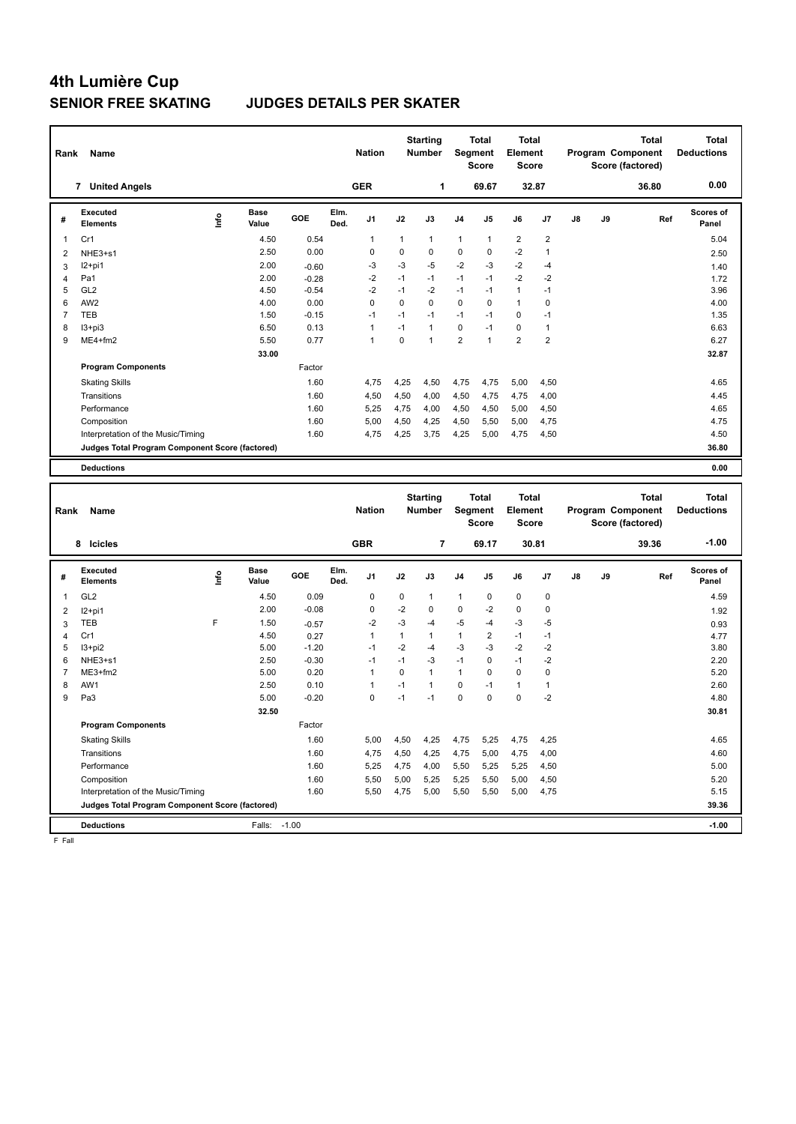#### **SENIOR FREE SKATING JUDGES DETAILS PER SKATER**

| Rank                    | Name                                            |             |                      |              |              | <b>Nation</b> |              | <b>Starting</b><br><b>Number</b> |                | <b>Total</b><br>Segment<br><b>Score</b> | <b>Total</b><br>Element<br><b>Score</b> |                |    |    | Program Component<br>Score (factored) | <b>Total</b> | <b>Total</b><br><b>Deductions</b> |
|-------------------------|-------------------------------------------------|-------------|----------------------|--------------|--------------|---------------|--------------|----------------------------------|----------------|-----------------------------------------|-----------------------------------------|----------------|----|----|---------------------------------------|--------------|-----------------------------------|
|                         | 7 United Angels                                 |             |                      |              |              | <b>GER</b>    |              | 1                                |                | 69.67                                   |                                         | 32.87          |    |    | 36.80                                 |              | 0.00                              |
| #                       | Executed<br><b>Elements</b>                     | Lnfo        | <b>Base</b><br>Value | GOE          | Elm.<br>Ded. | J1            | J2           | J3                               | J4             | J5                                      | J6                                      | J7             | J8 | J9 |                                       | Ref          | <b>Scores of</b><br>Panel         |
| $\overline{1}$          | Cr1                                             |             | 4.50                 | 0.54         |              | 1             | $\mathbf{1}$ | $\mathbf{1}$                     | $\mathbf{1}$   | 1                                       | $\overline{2}$                          | $\overline{2}$ |    |    |                                       |              | 5.04                              |
| $\overline{\mathbf{c}}$ | NHE3+s1                                         |             | 2.50                 | 0.00         |              | 0             | $\mathbf 0$  | $\mathbf 0$                      | $\mathbf 0$    | 0                                       | $-2$                                    | $\mathbf{1}$   |    |    |                                       |              | 2.50                              |
| 3                       | $12+pi1$                                        |             | 2.00                 | $-0.60$      |              | -3            | $-3$         | $-5$                             | $-2$           | -3                                      | $-2$                                    | $-4$           |    |    |                                       |              | 1.40                              |
| $\overline{4}$          | Pa1                                             |             | 2.00                 | $-0.28$      |              | $-2$          | $-1$         | $-1$                             | $-1$           | $-1$                                    | $-2$                                    | $-2$           |    |    |                                       |              | 1.72                              |
| 5                       | GL <sub>2</sub>                                 |             | 4.50                 | $-0.54$      |              | $-2$          | $-1$         | $-2$                             | $-1$           | $-1$                                    | $\mathbf{1}$                            | $-1$           |    |    |                                       |              | 3.96                              |
| 6                       | AW2                                             |             | 4.00                 | 0.00         |              | $\mathsf 0$   | $\mathsf 0$  | $\pmb{0}$                        | $\mathsf 0$    | 0                                       | $\mathbf{1}$                            | $\mathbf 0$    |    |    |                                       |              | 4.00                              |
| $\overline{7}$          | TEB                                             |             | 1.50                 | $-0.15$      |              | $-1$          | $-1$         | $-1$                             | $-1$           | $-1$                                    | $\mathbf 0$                             | $-1$           |    |    |                                       |              | 1.35                              |
| 8                       | $13 + pi3$                                      |             | 6.50                 | 0.13         |              | 1             | $-1$         | $\overline{1}$                   | $\mathbf 0$    | $-1$                                    | $\mathbf 0$                             | $\mathbf{1}$   |    |    |                                       |              | 6.63                              |
| 9                       | ME4+fm2                                         |             | 5.50                 | 0.77         |              | $\mathbf{1}$  | $\mathsf 0$  | $\overline{1}$                   | $\overline{2}$ | $\mathbf{1}$                            | $\overline{2}$                          | $\overline{2}$ |    |    |                                       |              | 6.27                              |
|                         |                                                 |             | 33.00                |              |              |               |              |                                  |                |                                         |                                         |                |    |    |                                       |              | 32.87                             |
|                         | <b>Program Components</b>                       |             |                      | Factor       |              |               |              |                                  |                |                                         |                                         |                |    |    |                                       |              |                                   |
|                         | <b>Skating Skills</b>                           |             |                      | 1.60         |              | 4,75          | 4,25         | 4,50                             | 4,75           | 4,75                                    | 5,00                                    | 4,50           |    |    |                                       |              | 4.65                              |
|                         | Transitions                                     |             |                      | 1.60         |              | 4,50          | 4,50         | 4,00                             | 4,50           | 4,75                                    | 4,75                                    | 4,00           |    |    |                                       |              | 4.45                              |
|                         | Performance                                     |             |                      | 1.60         |              | 5,25          | 4,75         | 4,00                             | 4,50           | 4,50                                    | 5,00                                    | 4,50           |    |    |                                       |              | 4.65                              |
|                         | Composition                                     |             |                      | 1.60         |              | 5,00          | 4,50         | 4,25                             | 4,50           | 5,50                                    | 5,00                                    | 4,75           |    |    |                                       |              | 4.75                              |
|                         | Interpretation of the Music/Timing              |             |                      | 1.60         |              | 4,75          | 4,25         | 3,75                             | 4,25           | 5,00                                    | 4,75                                    | 4,50           |    |    |                                       |              | 4.50                              |
|                         | Judges Total Program Component Score (factored) |             |                      |              |              |               |              |                                  |                |                                         |                                         |                |    |    |                                       |              | 36.80                             |
|                         |                                                 |             |                      |              |              |               |              |                                  |                |                                         |                                         |                |    |    |                                       |              |                                   |
|                         | <b>Deductions</b>                               |             |                      |              |              |               |              |                                  |                |                                         |                                         |                |    |    |                                       |              | 0.00                              |
|                         |                                                 |             |                      |              |              |               |              |                                  |                |                                         |                                         |                |    |    |                                       |              |                                   |
| Rank                    | Name                                            |             |                      |              |              | <b>Nation</b> |              | <b>Starting</b><br><b>Number</b> |                | <b>Total</b><br>Segment                 | <b>Total</b><br>Element                 |                |    |    | Program Component                     | <b>Total</b> | <b>Total</b><br><b>Deductions</b> |
|                         |                                                 |             |                      |              |              |               |              |                                  |                | Score                                   | <b>Score</b>                            |                |    |    | Score (factored)                      |              |                                   |
|                         | 8 Icicles                                       |             |                      |              |              | <b>GBR</b>    |              | $\overline{7}$                   |                | 69.17                                   | 30.81                                   |                |    |    | 39.36                                 |              | $-1.00$                           |
| $\#$                    | Executed<br><b>Elements</b>                     |             | <b>Base</b><br>Value | GOE          | Elm.         | J1            | J2           | J3                               | J4             | J5                                      | J6                                      | J7             | J8 | J9 |                                       | Ref          | <b>Scores of</b>                  |
|                         |                                                 | <u>info</u> |                      |              | Ded.         |               |              |                                  |                |                                         |                                         |                |    |    |                                       |              | Panel                             |
| 1                       | GL <sub>2</sub>                                 |             | 4.50                 | 0.09         |              | $\mathbf 0$   | 0            | $\mathbf{1}$                     | 1              | 0                                       | 0                                       | 0              |    |    |                                       |              | 4.59                              |
| $\overline{2}$          | $12+pi1$                                        |             | 2.00                 | $-0.08$      |              | 0             | $-2$         | $\pmb{0}$                        | $\pmb{0}$      | $-2$                                    | $\pmb{0}$                               | $\mathbf 0$    |    |    |                                       |              | 1.92                              |
| 3                       | TEB                                             | F           | 1.50                 | $-0.57$      |              | $-2$          | -3           | $-4$                             | $-5$           | $-4$                                    | -3                                      | $-5$           |    |    |                                       |              | 0.93                              |
| $\overline{4}$          | Cr1                                             |             | 4.50                 | 0.27         |              | $\mathbf{1}$  | $\mathbf{1}$ | $\overline{1}$                   | $\mathbf{1}$   | $\overline{\mathbf{c}}$                 | $-1$                                    | $-1$           |    |    |                                       |              | 4.77                              |
| 5                       | $13 + pi2$                                      |             | 5.00                 | $-1.20$      |              | $-1$          | $-2$         | $-4$                             | -3             | -3                                      | $-2$                                    | $-2$           |    |    |                                       |              | 3.80                              |
| 6                       | NHE3+s1                                         |             | 2.50                 | $-0.30$      |              | $-1$          | $-1$         | $-3$                             | $-1$           | 0                                       | $-1$                                    | $-2$           |    |    |                                       |              | 2.20                              |
| $\overline{7}$          | ME3+fm2                                         |             | 5.00                 | 0.20         |              | $\mathbf{1}$  | $\mathbf 0$  | $\mathbf{1}$                     | $\mathbf{1}$   | 0                                       | $\mathbf 0$                             | $\Omega$       |    |    |                                       |              | 5.20                              |
| 8                       | AW1                                             |             | 2.50                 | 0.10         |              | 1             | $-1$         | $\overline{1}$                   | $\mathsf 0$    | $-1$                                    | $\mathbf{1}$                            | $\mathbf{1}$   |    |    |                                       |              | 2.60                              |
| 9                       | Pa3                                             |             | 5.00                 | $-0.20$      |              | $\Omega$      | $-1$         | $-1$                             | $\mathbf 0$    | $\Omega$                                | $\mathbf 0$                             | $-2$           |    |    |                                       |              | 4.80                              |
|                         |                                                 |             | 32.50                |              |              |               |              |                                  |                |                                         |                                         |                |    |    |                                       |              | 30.81                             |
|                         | <b>Program Components</b>                       |             |                      | Factor       |              |               |              |                                  |                |                                         |                                         |                |    |    |                                       |              |                                   |
|                         | <b>Skating Skills</b>                           |             |                      | 1.60         |              | 5,00          | 4,50         | 4,25                             | 4,75           | 5,25                                    | 4,75                                    | 4,25           |    |    |                                       |              | 4.65                              |
|                         | Transitions                                     |             |                      | 1.60         |              | 4,75          | 4,50         | 4,25                             | 4,75           | 5,00                                    | 4,75                                    | 4,00           |    |    |                                       |              | 4.60                              |
|                         | Performance<br>Composition                      |             |                      | 1.60<br>1.60 |              | 5,25<br>5,50  | 4,75<br>5,00 | 4,00<br>5,25                     | 5,50<br>5,25   | 5,25<br>5,50                            | 5,25<br>5,00                            | 4,50<br>4,50   |    |    |                                       |              | 5.00<br>5.20                      |

Interpretation of the Music/Timing 1.60 5,50 4,75 5,00 5,50 5,50 5,00 4,75 5.15

**Deductions** Falls: -1.00 **-1.00 Judges Total Program Component Score (factored) 39.36**

F Fall